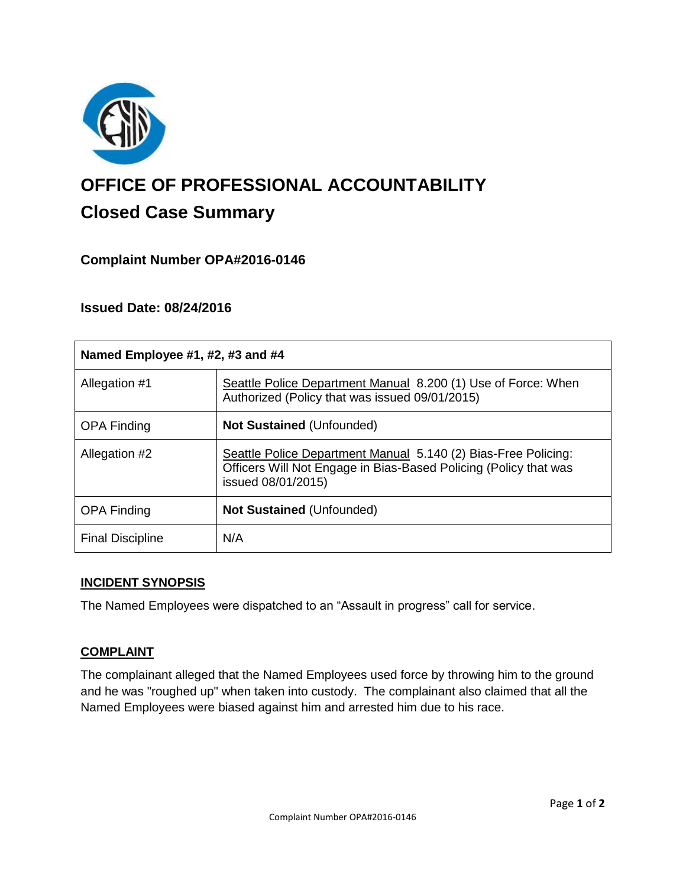

# **OFFICE OF PROFESSIONAL ACCOUNTABILITY Closed Case Summary**

## **Complaint Number OPA#2016-0146**

## **Issued Date: 08/24/2016**

| Named Employee #1, #2, #3 and #4 |                                                                                                                                                          |
|----------------------------------|----------------------------------------------------------------------------------------------------------------------------------------------------------|
| Allegation #1                    | Seattle Police Department Manual 8.200 (1) Use of Force: When<br>Authorized (Policy that was issued 09/01/2015)                                          |
| <b>OPA Finding</b>               | <b>Not Sustained (Unfounded)</b>                                                                                                                         |
| Allegation #2                    | Seattle Police Department Manual 5.140 (2) Bias-Free Policing:<br>Officers Will Not Engage in Bias-Based Policing (Policy that was<br>issued 08/01/2015) |
| <b>OPA Finding</b>               | <b>Not Sustained (Unfounded)</b>                                                                                                                         |
| <b>Final Discipline</b>          | N/A                                                                                                                                                      |

#### **INCIDENT SYNOPSIS**

The Named Employees were dispatched to an "Assault in progress" call for service.

### **COMPLAINT**

The complainant alleged that the Named Employees used force by throwing him to the ground and he was "roughed up" when taken into custody. The complainant also claimed that all the Named Employees were biased against him and arrested him due to his race.